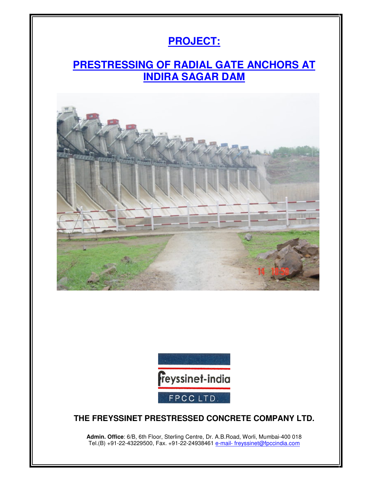# **PROJECT:**

## **PRESTRESSING OF RADIAL GATE ANCHORS AT INDIRA SAGAR DAM**





#### **THE FREYSSINET PRESTRESSED CONCRETE COMPANY LTD.**

**Admin. Office**: 6/B, 6th Floor, Sterling Centre, Dr. A.B.Road, Worli, Mumbai-400 018 Tel.(B) +91-22-43229500, Fax. +91-22-24938461 e-mail- freyssinet@fpccindia.com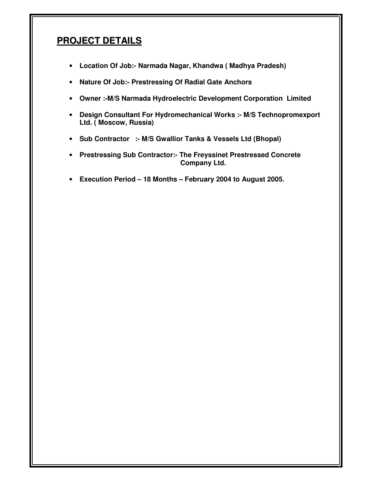#### **PROJECT DETAILS**

- **Location Of Job:- Narmada Nagar, Khandwa ( Madhya Pradesh)**
- **Nature Of Job:- Prestressing Of Radial Gate Anchors**
- **Owner :-M/S Narmada Hydroelectric Development Corporation Limited**
- **Design Consultant For Hydromechanical Works :- M/S Technopromexport Ltd. ( Moscow, Russia)**
- **Sub Contractor :- M/S Gwallior Tanks & Vessels Ltd (Bhopal)**
- **Prestressing Sub Contractor:- The Freyssinet Prestressed Concrete Company Ltd.**
- **Execution Period 18 Months February 2004 to August 2005.**